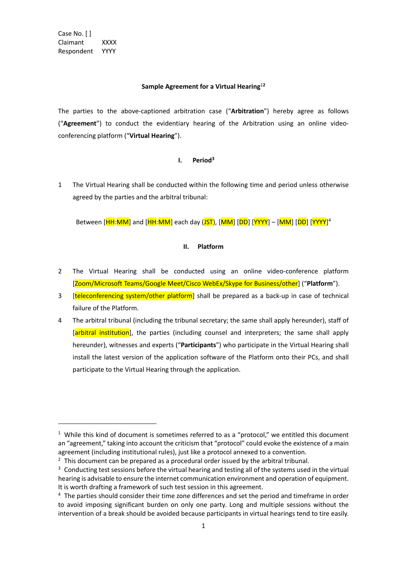Case No. [ ] Claimant XXXX Respondent YYYY

#### **Sample Agreement for a Virtual Hearing**<sup>1</sup>**<sup>2</sup>**

The parties to the above-captioned arbitration case ("**Arbitration**") hereby agree as follows ("**Agreement**") to conduct the evidentiary hearing of the Arbitration using an online videoconferencing platform ("**Virtual Hearing**").

## **I. Period<sup>3</sup>**

1 The Virtual Hearing shall be conducted within the following time and period unless otherwise agreed by the parties and the arbitral tribunal:

Between [<mark>HH:</mark>MM] and [<mark>HH:MM</mark>] each day (<mark>JST</mark>), [<mark>MM</mark>] [DD] [YYYY</mark>] – [MM] [DD] [YYYY]<sup>4</sup>

## **II. Platform**

- 2 The Virtual Hearing shall be conducted using an online video-conference platform [Zoom/Microsoft Teams/Google Meet/Cisco WebEx/Skype for Business/other] ("**Platform**").
- 3 **[teleconferencing system/other platform**] shall be prepared as a back-up in case of technical failure of the Platform.
- 4 The arbitral tribunal (including the tribunal secretary; the same shall apply hereunder), staff of [arbitral institution], the parties (including counsel and interpreters; the same shall apply hereunder), witnesses and experts ("**Participants**") who participate in the Virtual Hearing shall install the latest version of the application software of the Platform onto their PCs, and shall participate to the Virtual Hearing through the application.

 $1$  While this kind of document is sometimes referred to as a "protocol," we entitled this document an "agreement," taking into account the criticism that "protocol" could evoke the existence of a main agreement (including institutional rules), just like a protocol annexed to a convention.

 $<sup>2</sup>$  This document can be prepared as a procedural order issued by the arbitral tribunal.</sup>

 $3$  Conducting test sessions before the virtual hearing and testing all of the systems used in the virtual hearing is advisable to ensure the internet communication environment and operation of equipment. It is worth drafting a framework of such test session in this agreement.

<sup>4</sup> The parties should consider their time zone differences and set the period and timeframe in order to avoid imposing significant burden on only one party. Long and multiple sessions without the intervention of a break should be avoided because participants in virtual hearings tend to tire easily.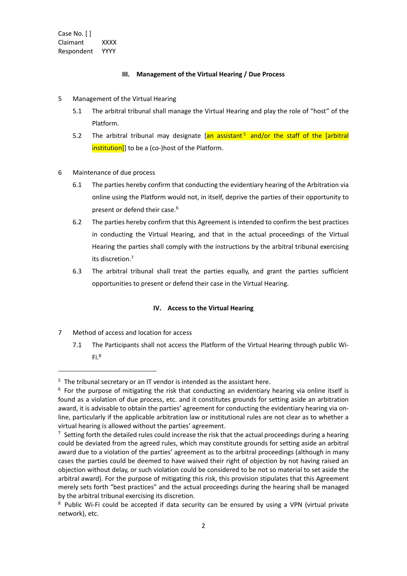Case No. [ ] Claimant XXXX Respondent YYYY

#### **III. Management of the Virtual Hearing / Due Process**

- 5 Management of the Virtual Hearing
	- 5.1 The arbitral tribunal shall manage the Virtual Hearing and play the role of "host" of the Platform.
	- 5.2 The arbitral tribunal may designate [an assistant<sup>5</sup> and/or the staff of the [arbitral institution]] to be a (co-)host of the Platform.
- 6 Maintenance of due process
	- 6.1 The parties hereby confirm that conducting the evidentiary hearing of the Arbitration via online using the Platform would not, in itself, deprive the parties of their opportunity to present or defend their case.<sup>6</sup>
	- 6.2 The parties hereby confirm that this Agreement is intended to confirm the best practices in conducting the Virtual Hearing, and that in the actual proceedings of the Virtual Hearing the parties shall comply with the instructions by the arbitral tribunal exercising its discretion.<sup>7</sup>
	- 6.3 The arbitral tribunal shall treat the parties equally, and grant the parties sufficient opportunities to present or defend their case in the Virtual Hearing.

## **IV. Access to the Virtual Hearing**

- 7 Method of access and location for access
	- 7.1 The Participants shall not access the Platform of the Virtual Hearing through public Wi- $Fi.<sup>8</sup>$

 $5$  The tribunal secretary or an IT vendor is intended as the assistant here.

 $6$  For the purpose of mitigating the risk that conducting an evidentiary hearing via online itself is found as a violation of due process, etc. and it constitutes grounds for setting aside an arbitration award, it is advisable to obtain the parties' agreement for conducting the evidentiary hearing via online, particularly if the applicable arbitration law or institutional rules are not clear as to whether a virtual hearing is allowed without the parties' agreement.

 $7$  Setting forth the detailed rules could increase the risk that the actual proceedings during a hearing could be deviated from the agreed rules, which may constitute grounds for setting aside an arbitral award due to a violation of the parties' agreement as to the arbitral proceedings (although in many cases the parties could be deemed to have waived their right of objection by not having raised an objection without delay, or such violation could be considered to be not so material to set aside the arbitral award). For the purpose of mitigating this risk, this provision stipulates that this Agreement merely sets forth "best practices" and the actual proceedings during the hearing shall be managed by the arbitral tribunal exercising its discretion.

<sup>&</sup>lt;sup>8</sup> Public Wi-Fi could be accepted if data security can be ensured by using a VPN (virtual private network), etc.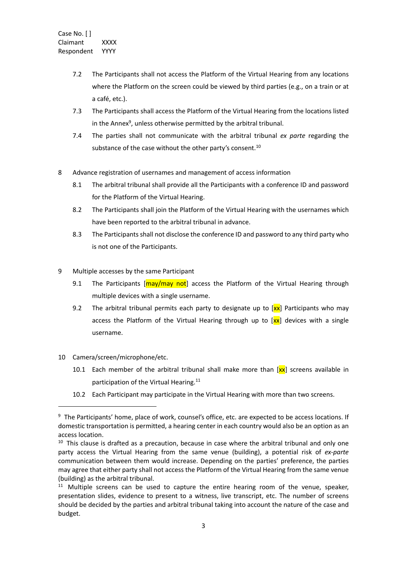- 7.2 The Participants shall not access the Platform of the Virtual Hearing from any locations where the Platform on the screen could be viewed by third parties (e.g., on a train or at a café, etc.).
- 7.3 The Participants shall access the Platform of the Virtual Hearing from the locations listed in the Annex<sup>9</sup>, unless otherwise permitted by the arbitral tribunal.
- 7.4 The parties shall not communicate with the arbitral tribunal *ex parte* regarding the substance of the case without the other party's consent.<sup>10</sup>
- 8 Advance registration of usernames and management of access information
	- 8.1 The arbitral tribunal shall provide all the Participants with a conference ID and password for the Platform of the Virtual Hearing.
	- 8.2 The Participants shall join the Platform of the Virtual Hearing with the usernames which have been reported to the arbitral tribunal in advance.
	- 8.3 The Participants shall not disclose the conference ID and password to any third party who is not one of the Participants.
- 9 Multiple accesses by the same Participant
	- 9.1 The Participants  $[\text{may may not}]$  access the Platform of the Virtual Hearing through multiple devices with a single username.
	- 9.2 The arbitral tribunal permits each party to designate up to  $\left[\frac{\mathbf{x}}{\mathbf{x}}\right]$  Participants who may access the Platform of the Virtual Hearing through up to  $[xx]$  devices with a single username.
- 10 Camera/screen/microphone/etc.
	- 10.1 Each member of the arbitral tribunal shall make more than  $[xx]$  screens available in participation of the Virtual Hearing.<sup>11</sup>
	- 10.2 Each Participant may participate in the Virtual Hearing with more than two screens.

<sup>&</sup>lt;sup>9</sup> The Participants' home, place of work, counsel's office, etc. are expected to be access locations. If domestic transportation is permitted, a hearing center in each country would also be an option as an access location.

<sup>&</sup>lt;sup>10</sup> This clause is drafted as a precaution, because in case where the arbitral tribunal and only one party access the Virtual Hearing from the same venue (building), a potential risk of *ex-parte* communication between them would increase. Depending on the parties' preference, the parties may agree that either party shall not access the Platform of the Virtual Hearing from the same venue (building) as the arbitral tribunal.

<sup>&</sup>lt;sup>11</sup> Multiple screens can be used to capture the entire hearing room of the venue, speaker, presentation slides, evidence to present to a witness, live transcript, etc. The number of screens should be decided by the parties and arbitral tribunal taking into account the nature of the case and budget.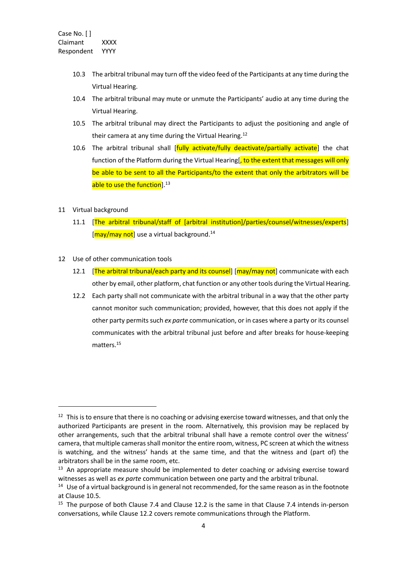- 10.3 The arbitral tribunal may turn off the video feed of the Participants at any time during the Virtual Hearing.
- 10.4 The arbitral tribunal may mute or unmute the Participants' audio at any time during the Virtual Hearing.
- 10.5 The arbitral tribunal may direct the Participants to adjust the positioning and angle of their camera at any time during the Virtual Hearing.<sup>12</sup>
- 10.6 The arbitral tribunal shall [fully activate/fully deactivate/partially activate] the chat function of the Platform during the Virtual Hearing<sup>[</sup>, to the extent that messages will only be able to be sent to all the Participants/to the extent that only the arbitrators will be able to use the function<sup>13</sup>
- 11 Virtual background
	- 11.1 [The arbitral tribunal/staff of [arbitral institution]/parties/counsel/witnesses/experts] [may/may not] use a virtual background.<sup>14</sup>
- 12 Use of other communication tools
	- 12.1 [The arbitral tribunal/each party and its counsel] [may/may not] communicate with each other by email, other platform, chat function or any other tools during the Virtual Hearing.
	- 12.2 Each party shall not communicate with the arbitral tribunal in a way that the other party cannot monitor such communication; provided, however, that this does not apply if the other party permitssuch *ex parte* communication, or in cases where a party or its counsel communicates with the arbitral tribunal just before and after breaks for house-keeping matters. 15

 $12$  This is to ensure that there is no coaching or advising exercise toward witnesses, and that only the authorized Participants are present in the room. Alternatively, this provision may be replaced by other arrangements, such that the arbitral tribunal shall have a remote control over the witness' camera, that multiple cameras shall monitor the entire room, witness, PC screen at which the witness is watching, and the witness' hands at the same time, and that the witness and (part of) the arbitrators shall be in the same room, etc.

 $13$  An appropriate measure should be implemented to deter coaching or advising exercise toward witnesses as well as *ex parte* communication between one party and the arbitral tribunal.

<sup>&</sup>lt;sup>14</sup> Use of a virtual background is in general not recommended, for the same reason as in the footnote at Clause 10.5.

<sup>&</sup>lt;sup>15</sup> The purpose of both Clause 7.4 and Clause 12.2 is the same in that Clause 7.4 intends in-person conversations, while Clause 12.2 covers remote communications through the Platform.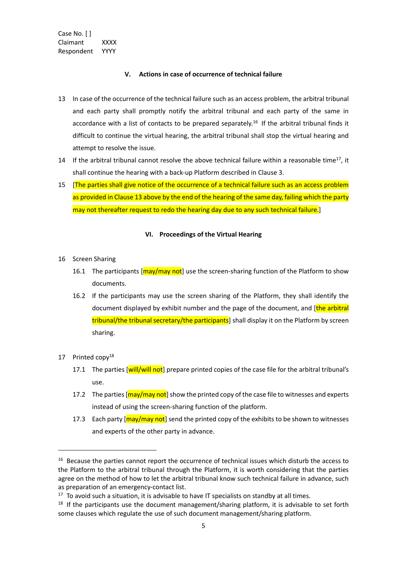Case No. [ ] Claimant XXXX Respondent YYYY

## **V. Actions in case of occurrence of technical failure**

- 13 In case of the occurrence of the technical failure such as an access problem, the arbitral tribunal and each party shall promptly notify the arbitral tribunal and each party of the same in accordance with a list of contacts to be prepared separately.<sup>16</sup> If the arbitral tribunal finds it difficult to continue the virtual hearing, the arbitral tribunal shall stop the virtual hearing and attempt to resolve the issue.
- 14 If the arbitral tribunal cannot resolve the above technical failure within a reasonable time<sup>17</sup>, it shall continue the hearing with a back-up Platform described in Clause 3.
- 15 [The parties shall give notice of the occurrence of a technical failure such as an access problem as provided in Clause 13 above by the end of the hearing of the same day, failing which the party may not thereafter request to redo the hearing day due to any such technical failure.]

#### **VI. Proceedings of the Virtual Hearing**

- 16 Screen Sharing
	- 16.1 The participants [ $m$ ay/may not] use the screen-sharing function of the Platform to show documents.
	- 16.2 If the participants may use the screen sharing of the Platform, they shall identify the document displayed by exhibit number and the page of the document, and [the arbitral tribunal/the tribunal secretary/the participants] shall display it on the Platform by screen sharing.
- 17 Printed copy<sup>18</sup>
	- 17.1 The parties [will/will not] prepare printed copies of the case file for the arbitral tribunal's use.
	- 17.2 The parties [may/may not] show the printed copy of the case file to witnesses and experts instead of using the screen-sharing function of the platform.
	- 17.3 Each party [may/may not] send the printed copy of the exhibits to be shown to witnesses and experts of the other party in advance.

<sup>&</sup>lt;sup>16</sup> Because the parties cannot report the occurrence of technical issues which disturb the access to the Platform to the arbitral tribunal through the Platform, it is worth considering that the parties agree on the method of how to let the arbitral tribunal know such technical failure in advance, such as preparation of an emergency-contact list.

 $17$  To avoid such a situation, it is advisable to have IT specialists on standby at all times.

 $18$  If the participants use the document management/sharing platform, it is advisable to set forth some clauses which regulate the use of such document management/sharing platform.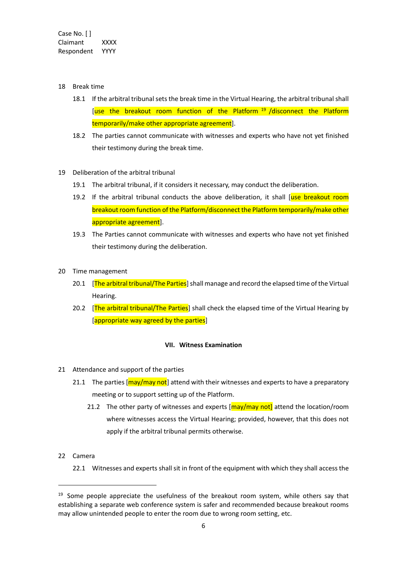- 18 Break time
	- 18.1 If the arbitral tribunal sets the break time in the Virtual Hearing, the arbitral tribunal shall [use the breakout room function of the Platform <sup>19</sup> /disconnect the Platform temporarily/make other appropriate agreement].
	- 18.2 The parties cannot communicate with witnesses and experts who have not yet finished their testimony during the break time.
- 19 Deliberation of the arbitral tribunal
	- 19.1 The arbitral tribunal, if it considers it necessary, may conduct the deliberation.
	- 19.2 If the arbitral tribunal conducts the above deliberation, it shall [use breakout room breakout room function of the Platform/disconnect the Platform temporarily/make other appropriate agreement].
	- 19.3 The Parties cannot communicate with witnesses and experts who have not yet finished their testimony during the deliberation.
- 20 Time management
	- 20.1 **The arbitral tribunal/The Parties** shall manage and record the elapsed time of the Virtual Hearing.
	- 20.2 **The arbitral tribunal/The Parties** shall check the elapsed time of the Virtual Hearing by [appropriate way agreed by the parties]

## **VII. Witness Examination**

- 21 Attendance and support of the parties
	- 21.1 The parties [may/may not] attend with their witnesses and experts to have a preparatory meeting or to support setting up of the Platform.
		- 21.2 The other party of witnesses and experts  $\frac{1}{2}$  may/may not attend the location/room where witnesses access the Virtual Hearing; provided, however, that this does not apply if the arbitral tribunal permits otherwise.
- 22 Camera
	- 22.1 Witnesses and experts shall sit in front of the equipment with which they shall access the

<sup>&</sup>lt;sup>19</sup> Some people appreciate the usefulness of the breakout room system, while others say that establishing a separate web conference system is safer and recommended because breakout rooms may allow unintended people to enter the room due to wrong room setting, etc.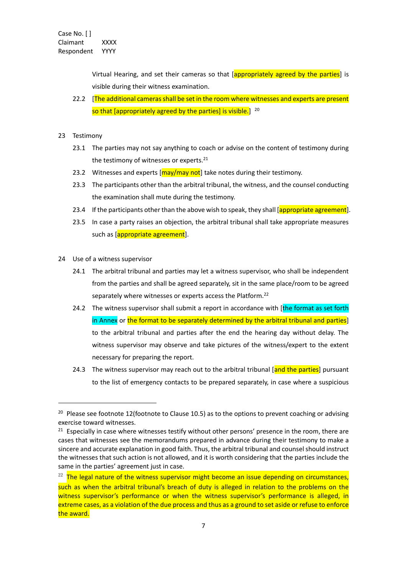Virtual Hearing, and set their cameras so that [appropriately agreed by the parties] is visible during their witness examination.

- 22.2 [The additional cameras shall be set in the room where witnesses and experts are present so that [appropriately agreed by the parties] is visible.] <sup>20</sup>
- 23 Testimony
	- 23.1 The parties may not say anything to coach or advise on the content of testimony during the testimony of witnesses or experts.<sup>21</sup>
	- 23.2 Witnesses and experts  $\frac{|\text{may}/\text{may}}{\text{not}}$  take notes during their testimony.
	- 23.3 The participants other than the arbitral tribunal, the witness, and the counsel conducting the examination shall mute during the testimony.
	- 23.4 If the participants other than the above wish to speak, they shall [appropriate agreement].
	- 23.5 In case a party raises an objection, the arbitral tribunal shall take appropriate measures such as [appropriate agreement].
- 24 Use of a witness supervisor
	- 24.1 The arbitral tribunal and parties may let a witness supervisor, who shall be independent from the parties and shall be agreed separately, sit in the same place/room to be agreed separately where witnesses or experts access the Platform.<sup>22</sup>
	- 24.2 The witness supervisor shall submit a report in accordance with [the format as set forth] in Annex or the format to be separately determined by the arbitral tribunal and parties] to the arbitral tribunal and parties after the end the hearing day without delay. The witness supervisor may observe and take pictures of the witness/expert to the extent necessary for preparing the report.
	- 24.3 The witness supervisor may reach out to the arbitral tribunal [and the parties] pursuant to the list of emergency contacts to be prepared separately, in case where a suspicious

<sup>&</sup>lt;sup>20</sup> Please see footnote 12(footnote to Clause 10.5) as to the options to prevent coaching or advising exercise toward witnesses.

<sup>&</sup>lt;sup>21</sup> Especially in case where witnesses testify without other persons' presence in the room, there are cases that witnesses see the memorandums prepared in advance during their testimony to make a sincere and accurate explanation in good faith. Thus, the arbitral tribunal and counsel should instruct the witnesses that such action is not allowed, and it is worth considering that the parties include the same in the parties' agreement just in case.

 $22$  The legal nature of the witness supervisor might become an issue depending on circumstances, such as when the arbitral tribunal's breach of duty is alleged in relation to the problems on the witness supervisor's performance or when the witness supervisor's performance is alleged, in extreme cases, as a violation of the due process and thus as a ground to set aside or refuse to enforce the award.